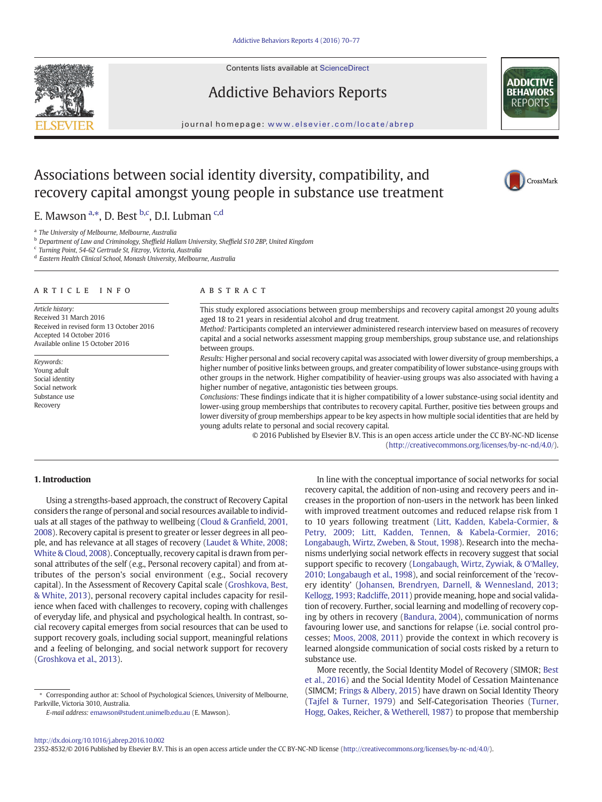Contents lists available at ScienceDirect



Addictive Behaviors Reports



CrossMark

journal homepage: <www.elsevier.com/locate/abrep>

# Associations between social identity diversity, compatibility, and recovery capital amongst young people in substance use treatment

E. Mawson <sup>a,\*</sup>, D. Best <sup>b,c</sup>, D.I. Lubman <sup>c,d</sup>

<sup>a</sup> The University of Melbourne, Melbourne, Australia

<sup>b</sup> Department of Law and Criminology, Sheffield Hallam University, Sheffield S10 2BP, United Kingdom

<sup>c</sup> Turning Point, 54-62 Gertrude St, Fitzroy, Victoria, Australia

<sup>d</sup> Eastern Health Clinical School, Monash University, Melbourne, Australia

## article info abstract

Article history: Received 31 March 2016 Received in revised form 13 October 2016 Accepted 14 October 2016 Available online 15 October 2016

Keywords: Young adult Social identity Social network Substance use Recovery

This study explored associations between group memberships and recovery capital amongst 20 young adults aged 18 to 21 years in residential alcohol and drug treatment.

Method: Participants completed an interviewer administered research interview based on measures of recovery capital and a social networks assessment mapping group memberships, group substance use, and relationships between groups.

Results: Higher personal and social recovery capital was associated with lower diversity of group memberships, a higher number of positive links between groups, and greater compatibility of lower substance-using groups with other groups in the network. Higher compatibility of heavier-using groups was also associated with having a higher number of negative, antagonistic ties between groups.

Conclusions: These findings indicate that it is higher compatibility of a lower substance-using social identity and lower-using group memberships that contributes to recovery capital. Further, positive ties between groups and lower diversity of group memberships appear to be key aspects in how multiple social identities that are held by young adults relate to personal and social recovery capital.

> © 2016 Published by Elsevier B.V. This is an open access article under the CC BY-NC-ND license (<http://creativecommons.org/licenses/by-nc-nd/4.0/>).

# 1. Introduction

Using a strengths-based approach, the construct of Recovery Capital considers the range of personal and social resources available to individuals at all stages of the pathway to wellbeing [\(Cloud & Gran](#page-6-0)field, 2001, [2008\)](#page-6-0). Recovery capital is present to greater or lesser degrees in all people, and has relevance at all stages of recovery [\(Laudet & White, 2008;](#page-6-0) [White & Cloud, 2008\)](#page-6-0). Conceptually, recovery capital is drawn from personal attributes of the self (e.g., Personal recovery capital) and from attributes of the person's social environment (e.g., Social recovery capital). In the Assessment of Recovery Capital scale ([Groshkova, Best,](#page-6-0) [& White, 2013\)](#page-6-0), personal recovery capital includes capacity for resilience when faced with challenges to recovery, coping with challenges of everyday life, and physical and psychological health. In contrast, social recovery capital emerges from social resources that can be used to support recovery goals, including social support, meaningful relations and a feeling of belonging, and social network support for recovery [\(Groshkova et al., 2013\)](#page-6-0).

E-mail address: [emawson@student.unimelb.edu.au](mailto:emawson@student.unimelb.edu.au) (E. Mawson).

In line with the conceptual importance of social networks for social recovery capital, the addition of non-using and recovery peers and increases in the proportion of non-users in the network has been linked with improved treatment outcomes and reduced relapse risk from 1 to 10 years following treatment [\(Litt, Kadden, Kabela-Cormier, &](#page-6-0) [Petry, 2009; Litt, Kadden, Tennen, & Kabela-Cormier, 2016;](#page-6-0) [Longabaugh, Wirtz, Zweben, & Stout, 1998](#page-6-0)). Research into the mechanisms underlying social network effects in recovery suggest that social support specific to recovery [\(Longabaugh, Wirtz, Zywiak, & O'Malley,](#page-6-0) [2010; Longabaugh et al., 1998](#page-6-0)), and social reinforcement of the 'recovery identity' [\(Johansen, Brendryen, Darnell, & Wennesland, 2013;](#page-6-0) [Kellogg, 1993; Radcliffe, 2011\)](#page-6-0) provide meaning, hope and social validation of recovery. Further, social learning and modelling of recovery coping by others in recovery ([Bandura, 2004\)](#page-6-0), communication of norms favouring lower use, and sanctions for relapse (i.e. social control processes; [Moos, 2008, 2011\)](#page-7-0) provide the context in which recovery is learned alongside communication of social costs risked by a return to substance use.

More recently, the Social Identity Model of Recovery (SIMOR; [Best](#page-6-0) [et al., 2016](#page-6-0)) and the Social Identity Model of Cessation Maintenance (SIMCM; [Frings & Albery, 2015\)](#page-6-0) have drawn on Social Identity Theory [\(Tajfel & Turner, 1979](#page-7-0)) and Self-Categorisation Theories ([Turner,](#page-7-0) [Hogg, Oakes, Reicher, & Wetherell, 1987](#page-7-0)) to propose that membership

2352-8532/© 2016 Published by Elsevier B.V. This is an open access article under the CC BY-NC-ND license (<http://creativecommons.org/licenses/by-nc-nd/4.0/>).

<sup>⁎</sup> Corresponding author at: School of Psychological Sciences, University of Melbourne, Parkville, Victoria 3010, Australia.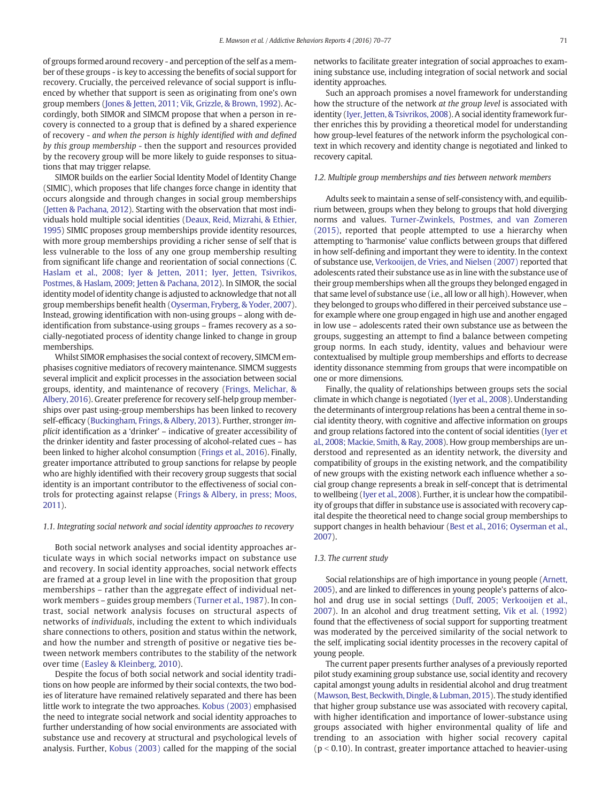of groups formed around recovery - and perception of the self as a member of these groups - is key to accessing the benefits of social support for recovery. Crucially, the perceived relevance of social support is influenced by whether that support is seen as originating from one's own group members [\(Jones & Jetten, 2011; Vik, Grizzle, & Brown, 1992\)](#page-6-0). Accordingly, both SIMOR and SIMCM propose that when a person in recovery is connected to a group that is defined by a shared experience of recovery - and when the person is highly identified with and defined by this group membership - then the support and resources provided by the recovery group will be more likely to guide responses to situations that may trigger relapse.

SIMOR builds on the earlier Social Identity Model of Identity Change (SIMIC), which proposes that life changes force change in identity that occurs alongside and through changes in social group memberships [\(Jetten & Pachana, 2012](#page-6-0)). Starting with the observation that most individuals hold multiple social identities ([Deaux, Reid, Mizrahi, & Ethier,](#page-6-0) [1995](#page-6-0)) SIMIC proposes group memberships provide identity resources, with more group memberships providing a richer sense of self that is less vulnerable to the loss of any one group membership resulting from significant life change and reorientation of social connections (C. [Haslam et al., 2008; Iyer & Jetten, 2011; Iyer, Jetten, Tsivrikos,](#page-6-0) [Postmes, & Haslam, 2009; Jetten & Pachana, 2012\)](#page-6-0). In SIMOR, the social identity model of identity change is adjusted to acknowledge that not all group memberships benefit health [\(Oyserman, Fryberg, & Yoder, 2007](#page-7-0)). Instead, growing identification with non-using groups – along with deidentification from substance-using groups – frames recovery as a socially-negotiated process of identity change linked to change in group memberships.

Whilst SIMOR emphasises the social context of recovery, SIMCM emphasises cognitive mediators of recovery maintenance. SIMCM suggests several implicit and explicit processes in the association between social groups, identity, and maintenance of recovery [\(Frings, Melichar, &](#page-6-0) [Albery, 2016\)](#page-6-0). Greater preference for recovery self-help group memberships over past using-group memberships has been linked to recovery self-efficacy ([Buckingham, Frings, & Albery, 2013\)](#page-6-0). Further, stronger implicit identification as a 'drinker' – indicative of greater accessibility of the drinker identity and faster processing of alcohol-related cues – has been linked to higher alcohol consumption ([Frings et al., 2016](#page-6-0)). Finally, greater importance attributed to group sanctions for relapse by people who are highly identified with their recovery group suggests that social identity is an important contributor to the effectiveness of social controls for protecting against relapse [\(Frings & Albery, in press; Moos,](#page-6-0) [2011](#page-6-0)).

#### 1.1. Integrating social network and social identity approaches to recovery

Both social network analyses and social identity approaches articulate ways in which social networks impact on substance use and recovery. In social identity approaches, social network effects are framed at a group level in line with the proposition that group memberships – rather than the aggregate effect of individual network members – guides group members [\(Turner et al., 1987](#page-7-0)). In contrast, social network analysis focuses on structural aspects of networks of individuals, including the extent to which individuals share connections to others, position and status within the network, and how the number and strength of positive or negative ties between network members contributes to the stability of the network over time ([Easley & Kleinberg, 2010\)](#page-6-0).

Despite the focus of both social network and social identity traditions on how people are informed by their social contexts, the two bodies of literature have remained relatively separated and there has been little work to integrate the two approaches. [Kobus \(2003\)](#page-6-0) emphasised the need to integrate social network and social identity approaches to further understanding of how social environments are associated with substance use and recovery at structural and psychological levels of analysis. Further, [Kobus \(2003\)](#page-6-0) called for the mapping of the social

networks to facilitate greater integration of social approaches to examining substance use, including integration of social network and social identity approaches.

Such an approach promises a novel framework for understanding how the structure of the network at the group level is associated with identity [\(Iyer, Jetten, & Tsivrikos, 2008\)](#page-6-0). A social identity framework further enriches this by providing a theoretical model for understanding how group-level features of the network inform the psychological context in which recovery and identity change is negotiated and linked to recovery capital.

#### 1.2. Multiple group memberships and ties between network members

Adults seek to maintain a sense of self-consistency with, and equilibrium between, groups when they belong to groups that hold diverging norms and values. [Turner-Zwinkels, Postmes, and van Zomeren](#page-7-0) [\(2015\)](#page-7-0), reported that people attempted to use a hierarchy when attempting to 'harmonise' value conflicts between groups that differed in how self-defining and important they were to identity. In the context of substance use, [Verkooijen, de Vries, and Nielsen \(2007\)](#page-7-0) reported that adolescents rated their substance use as in line with the substance use of their group memberships when all the groups they belonged engaged in that same level of substance use (i.e., all low or all high). However, when they belonged to groups who differed in their perceived substance use – for example where one group engaged in high use and another engaged in low use – adolescents rated their own substance use as between the groups, suggesting an attempt to find a balance between competing group norms. In each study, identity, values and behaviour were contextualised by multiple group memberships and efforts to decrease identity dissonance stemming from groups that were incompatible on one or more dimensions.

Finally, the quality of relationships between groups sets the social climate in which change is negotiated [\(Iyer et al., 2008\)](#page-6-0). Understanding the determinants of intergroup relations has been a central theme in social identity theory, with cognitive and affective information on groups and group relations factored into the content of social identities [\(Iyer et](#page-6-0) [al., 2008; Mackie, Smith, & Ray, 2008](#page-6-0)). How group memberships are understood and represented as an identity network, the diversity and compatibility of groups in the existing network, and the compatibility of new groups with the existing network each influence whether a social group change represents a break in self-concept that is detrimental to wellbeing [\(Iyer et al., 2008\)](#page-6-0). Further, it is unclear how the compatibility of groups that differ in substance use is associated with recovery capital despite the theoretical need to change social group memberships to support changes in health behaviour [\(Best et al., 2016; Oyserman et al.,](#page-6-0) [2007](#page-6-0)).

# 1.3. The current study

Social relationships are of high importance in young people [\(Arnett,](#page-6-0) [2005](#page-6-0)), and are linked to differences in young people's patterns of alcohol and drug use in social settings ([Duff, 2005; Verkooijen et al.,](#page-6-0) [2007\)](#page-6-0). In an alcohol and drug treatment setting, [Vik et al. \(1992\)](#page-7-0) found that the effectiveness of social support for supporting treatment was moderated by the perceived similarity of the social network to the self, implicating social identity processes in the recovery capital of young people.

The current paper presents further analyses of a previously reported pilot study examining group substance use, social identity and recovery capital amongst young adults in residential alcohol and drug treatment [\(Mawson, Best, Beckwith, Dingle, & Lubman, 2015\)](#page-6-0). The study identified that higher group substance use was associated with recovery capital, with higher identification and importance of lower-substance using groups associated with higher environmental quality of life and trending to an association with higher social recovery capital  $(p < 0.10)$ . In contrast, greater importance attached to heavier-using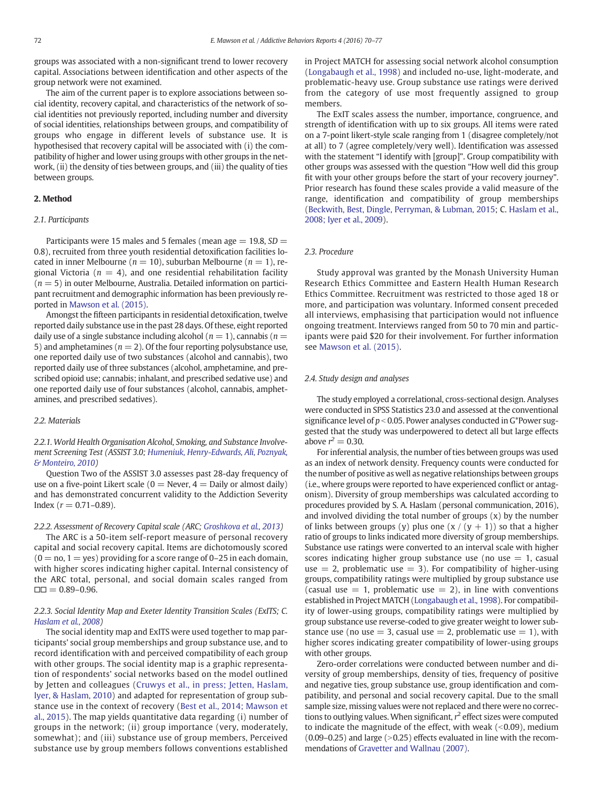groups was associated with a non-significant trend to lower recovery capital. Associations between identification and other aspects of the group network were not examined.

The aim of the current paper is to explore associations between social identity, recovery capital, and characteristics of the network of social identities not previously reported, including number and diversity of social identities, relationships between groups, and compatibility of groups who engage in different levels of substance use. It is hypothesised that recovery capital will be associated with (i) the compatibility of higher and lower using groups with other groups in the network, (ii) the density of ties between groups, and (iii) the quality of ties between groups.

# 2. Method

# 2.1. Participants

Participants were 15 males and 5 females (mean age  $= 19.8$ ,  $SD =$ 0.8), recruited from three youth residential detoxification facilities located in inner Melbourne ( $n = 10$ ), suburban Melbourne ( $n = 1$ ), regional Victoria ( $n = 4$ ), and one residential rehabilitation facility  $(n = 5)$  in outer Melbourne, Australia. Detailed information on participant recruitment and demographic information has been previously reported in [Mawson et al. \(2015\).](#page-6-0)

Amongst the fifteen participants in residential detoxification, twelve reported daily substance use in the past 28 days. Of these, eight reported daily use of a single substance including alcohol ( $n = 1$ ), cannabis ( $n = 1$ ) 5) and amphetamines ( $n = 2$ ). Of the four reporting polysubstance use, one reported daily use of two substances (alcohol and cannabis), two reported daily use of three substances (alcohol, amphetamine, and prescribed opioid use; cannabis; inhalant, and prescribed sedative use) and one reported daily use of four substances (alcohol, cannabis, amphetamines, and prescribed sedatives).

#### 2.2. Materials

2.2.1. World Health Organisation Alcohol, Smoking, and Substance Involvement Screening Test (ASSIST 3.0; [Humeniuk, Henry-Edwards, Ali, Poznyak,](#page-6-0) [& Monteiro, 2010\)](#page-6-0)

Question Two of the ASSIST 3.0 assesses past 28-day frequency of use on a five-point Likert scale ( $0 =$  Never,  $4 =$  Daily or almost daily) and has demonstrated concurrent validity to the Addiction Severity Index ( $r = 0.71 - 0.89$ ).

# 2.2.2. Assessment of Recovery Capital scale (ARC; [Groshkova et al., 2013](#page-6-0))

The ARC is a 50-item self-report measure of personal recovery capital and social recovery capital. Items are dichotomously scored  $(0 = no, 1 = yes)$  providing for a score range of 0–25 in each domain, with higher scores indicating higher capital. Internal consistency of the ARC total, personal, and social domain scales ranged from  $\Box$  $= 0.89 - 0.96$ .

# 2.2.3. Social Identity Map and Exeter Identity Transition Scales (ExITS; C. [Haslam et al., 2008\)](#page-6-0)

The social identity map and ExITS were used together to map participants' social group memberships and group substance use, and to record identification with and perceived compatibility of each group with other groups. The social identity map is a graphic representation of respondents' social networks based on the model outlined by Jetten and colleagues ([Cruwys et al., in press; Jetten, Haslam,](#page-6-0) [Iyer, & Haslam, 2010\)](#page-6-0) and adapted for representation of group substance use in the context of recovery ([Best et al., 2014; Mawson et](#page-6-0) [al., 2015\)](#page-6-0). The map yields quantitative data regarding (i) number of groups in the network; (ii) group importance (very, moderately, somewhat); and (iii) substance use of group members, Perceived substance use by group members follows conventions established

in Project MATCH for assessing social network alcohol consumption [\(Longabaugh et al., 1998](#page-6-0)) and included no-use, light-moderate, and problematic-heavy use. Group substance use ratings were derived from the category of use most frequently assigned to group members.

The ExIT scales assess the number, importance, congruence, and strength of identification with up to six groups. All items were rated on a 7-point likert-style scale ranging from 1 (disagree completely/not at all) to 7 (agree completely/very well). Identification was assessed with the statement "I identify with [group]". Group compatibility with other groups was assessed with the question "How well did this group fit with your other groups before the start of your recovery journey". Prior research has found these scales provide a valid measure of the range, identification and compatibility of group memberships [\(Beckwith, Best, Dingle, Perryman, & Lubman, 2015;](#page-6-0) C. [Haslam et al.,](#page-6-0) [2008; Iyer et al., 2009\)](#page-6-0).

#### 2.3. Procedure

Study approval was granted by the Monash University Human Research Ethics Committee and Eastern Health Human Research Ethics Committee. Recruitment was restricted to those aged 18 or more, and participation was voluntary. Informed consent preceded all interviews, emphasising that participation would not influence ongoing treatment. Interviews ranged from 50 to 70 min and participants were paid \$20 for their involvement. For further information see [Mawson et al. \(2015\)](#page-6-0).

#### 2.4. Study design and analyses

The study employed a correlational, cross-sectional design. Analyses were conducted in SPSS Statistics 23.0 and assessed at the conventional significance level of  $p < 0.05$ . Power analyses conducted in G\*Power suggested that the study was underpowered to detect all but large effects above  $r^2 = 0.30$ .

For inferential analysis, the number of ties between groups was used as an index of network density. Frequency counts were conducted for the number of positive as well as negative relationships between groups (i.e., where groups were reported to have experienced conflict or antagonism). Diversity of group memberships was calculated according to procedures provided by S. A. Haslam (personal communication, 2016), and involved dividing the total number of groups (x) by the number of links between groups (y) plus one  $(x/(y + 1))$  so that a higher ratio of groups to links indicated more diversity of group memberships. Substance use ratings were converted to an interval scale with higher scores indicating higher group substance use (no use  $= 1$ , casual use  $= 2$ , problematic use  $= 3$ ). For compatibility of higher-using groups, compatibility ratings were multiplied by group substance use (casual use  $= 1$ , problematic use  $= 2$ ), in line with conventions established in Project MATCH [\(Longabaugh et al., 1998](#page-6-0)). For compatibility of lower-using groups, compatibility ratings were multiplied by group substance use reverse-coded to give greater weight to lower substance use (no use  $=$  3, casual use  $=$  2, problematic use  $=$  1), with higher scores indicating greater compatibility of lower-using groups with other groups.

Zero-order correlations were conducted between number and diversity of group memberships, density of ties, frequency of positive and negative ties, group substance use, group identification and compatibility, and personal and social recovery capital. Due to the small sample size, missing values were not replaced and there were no corrections to outlying values. When significant,  $r^2$  effect sizes were computed to indicate the magnitude of the effect, with weak  $(<0.09)$ , medium  $(0.09-0.25)$  and large  $(>0.25)$  effects evaluated in line with the recommendations of [Gravetter and Wallnau \(2007\).](#page-6-0)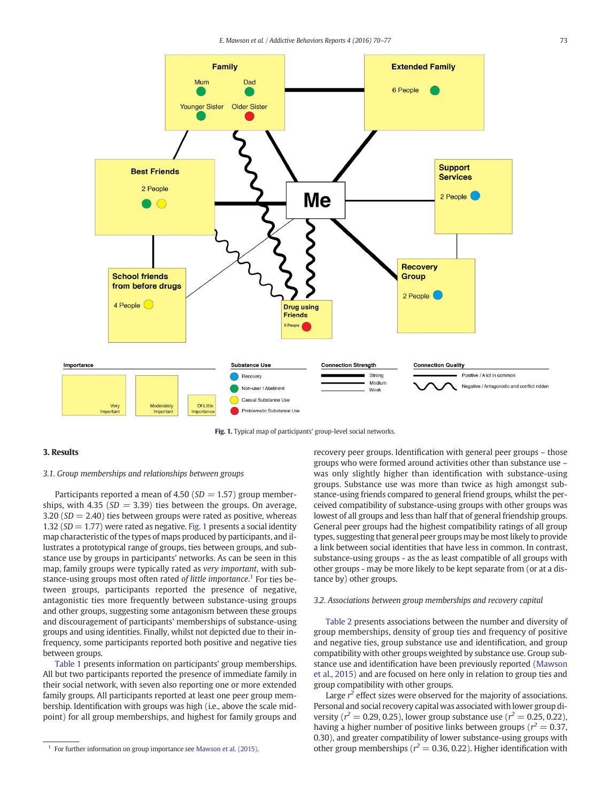

Fig. 1. Typical map of participants' group-level social networks.

# 3. Results

# 3.1. Group memberships and relationships between groups

Participants reported a mean of 4.50 ( $SD = 1.57$ ) group memberships, with 4.35 ( $SD = 3.39$ ) ties between the groups. On average,  $3.20$  (SD = 2.40) ties between groups were rated as positive, whereas 1.32 ( $SD = 1.77$ ) were rated as negative. Fig. 1 presents a social identity map characteristic of the types of maps produced by participants, and illustrates a prototypical range of groups, ties between groups, and substance use by groups in participants' networks. As can be seen in this map, family groups were typically rated as very important, with substance-using groups most often rated of little importance.<sup>1</sup> For ties between groups, participants reported the presence of negative, antagonistic ties more frequently between substance-using groups and other groups, suggesting some antagonism between these groups and discouragement of participants' memberships of substance-using groups and using identities. Finally, whilst not depicted due to their infrequency, some participants reported both positive and negative ties between groups.

[Table 1](#page-4-0) presents information on participants' group memberships. All but two participants reported the presence of immediate family in their social network, with seven also reporting one or more extended family groups. All participants reported at least one peer group membership. Identification with groups was high (i.e., above the scale midpoint) for all group memberships, and highest for family groups and recovery peer groups. Identification with general peer groups – those groups who were formed around activities other than substance use – was only slightly higher than identification with substance-using groups. Substance use was more than twice as high amongst substance-using friends compared to general friend groups, whilst the perceived compatibility of substance-using groups with other groups was lowest of all groups and less than half that of general friendship groups. General peer groups had the highest compatibility ratings of all group types, suggesting that general peer groups may be most likely to provide a link between social identities that have less in common. In contrast, substance-using groups - as the as least compatible of all groups with other groups - may be more likely to be kept separate from (or at a distance by) other groups.

## 3.2. Associations between group memberships and recovery capital

[Table 2](#page-4-0) presents associations between the number and diversity of group memberships, density of group ties and frequency of positive and negative ties, group substance use and identification, and group compatibility with other groups weighted by substance use. Group substance use and identification have been previously reported ([Mawson](#page-6-0) [et al., 2015\)](#page-6-0) and are focused on here only in relation to group ties and group compatibility with other groups.

Large  $r^2$  effect sizes were observed for the majority of associations. Personal and social recovery capital was associated with lower group diversity ( $r^2 = 0.29, 0.25$ ), lower group substance use ( $r^2 = 0.25, 0.22$ ), having a higher number of positive links between groups ( $r^2 = 0.37$ , 0.30), and greater compatibility of lower substance-using groups with other group memberships ( $r^2 = 0.36$ , 0.22). Higher identification with

<sup>&</sup>lt;sup>1</sup> For further information on group importance see [Mawson et al. \(2015\).](#page-6-0)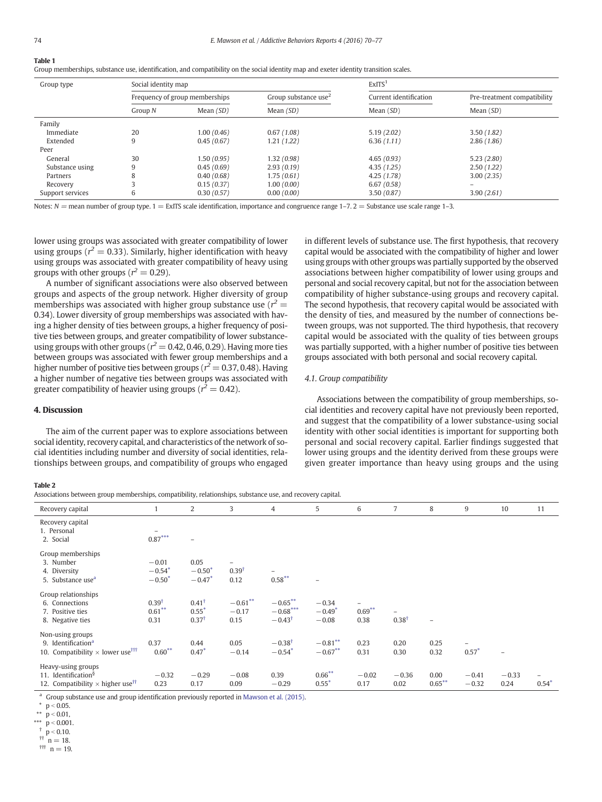# <span id="page-4-0"></span>Table 1

Group memberships, substance use, identification, and compatibility on the social identity map and exeter identity transition scales.

| Group type       | Social identity map |                                |                                  | ExITS <sup>1</sup>     |                             |  |  |
|------------------|---------------------|--------------------------------|----------------------------------|------------------------|-----------------------------|--|--|
|                  |                     | Frequency of group memberships | Group substance use <sup>2</sup> | Current identification | Pre-treatment compatibility |  |  |
|                  | Group N             | Mean $(SD)$                    | Mean $(SD)$                      | Mean $(SD)$            | Mean $(SD)$                 |  |  |
| Family           |                     |                                |                                  |                        |                             |  |  |
| Immediate        | 20                  | 1.00(0.46)                     | 0.67(1.08)                       | 5.19(2.02)             | 3.50(1.82)                  |  |  |
| Extended         | 9                   | 0.45(0.67)                     | 1.21(1.22)                       | 6.36(1.11)             | 2.86(1.86)                  |  |  |
| Peer             |                     |                                |                                  |                        |                             |  |  |
| General          | 30                  | 1.50(0.95)                     | 1.32(0.98)                       | 4.65(0.93)             | 5.23(2.80)                  |  |  |
| Substance using  | 9                   | 0.45(0.69)                     | 2.93(0.19)                       | 4.35(1.25)             | 2.50(1.22)                  |  |  |
| Partners         | 8                   | 0.40(0.68)                     | 1.75(0.61)                       | 4.25(1.78)             | 3.00(2.35)                  |  |  |
| Recovery         |                     | 0.15(0.37)                     | 1.00(0.00)                       | 6.67(0.58)             | $\qquad \qquad =$           |  |  |
| Support services | 6                   | 0.30(0.57)                     | 0.00(0.00)                       | 3.50(0.87)             | 3.90(2.61)                  |  |  |

Notes:  $N =$  mean number of group type.  $1 =$  ExITS scale identification, importance and congruence range 1–7. 2 = Substance use scale range 1–3.

lower using groups was associated with greater compatibility of lower using groups ( $r^2 = 0.33$ ). Similarly, higher identification with heavy using groups was associated with greater compatibility of heavy using groups with other groups ( $r^2 = 0.29$ ).

A number of significant associations were also observed between groups and aspects of the group network. Higher diversity of group memberships was associated with higher group substance use ( $r^2 =$ 0.34). Lower diversity of group memberships was associated with having a higher density of ties between groups, a higher frequency of positive ties between groups, and greater compatibility of lower substanceusing groups with other groups ( $r^2$  = 0.42, 0.46, 0.29). Having more ties between groups was associated with fewer group memberships and a higher number of positive ties between groups ( $r^2$  = 0.37, 0.48). Having a higher number of negative ties between groups was associated with greater compatibility of heavier using groups ( $r^2 = 0.42$ ).

in different levels of substance use. The first hypothesis, that recovery capital would be associated with the compatibility of higher and lower using groups with other groups was partially supported by the observed associations between higher compatibility of lower using groups and personal and social recovery capital, but not for the association between compatibility of higher substance-using groups and recovery capital. The second hypothesis, that recovery capital would be associated with the density of ties, and measured by the number of connections between groups, was not supported. The third hypothesis, that recovery capital would be associated with the quality of ties between groups was partially supported, with a higher number of positive ties between groups associated with both personal and social recovery capital.

# 4.1. Group compatibility

The aim of the current paper was to explore associations between social identity, recovery capital, and characteristics of the network of social identities including number and diversity of social identities, relationships between groups, and compatibility of groups who engaged Associations between the compatibility of group memberships, social identities and recovery capital have not previously been reported, and suggest that the compatibility of a lower substance-using social identity with other social identities is important for supporting both personal and social recovery capital. Earlier findings suggested that lower using groups and the identity derived from these groups were given greater importance than heavy using groups and the using

#### Table 2

4. Discussion

Associations between group memberships, compatibility, relationships, substance use, and recovery capital.

| Recovery capital                                                                                             |                                        | 2                                               | 3                             | $\overline{4}$                                | 5                              | 6                                             | 7                | 8                 | 9                         | 10              | 11      |
|--------------------------------------------------------------------------------------------------------------|----------------------------------------|-------------------------------------------------|-------------------------------|-----------------------------------------------|--------------------------------|-----------------------------------------------|------------------|-------------------|---------------------------|-----------------|---------|
| Recovery capital<br>1. Personal<br>2. Social                                                                 | $\overline{\phantom{a}}$<br>$0.87***$  | -                                               |                               |                                               |                                |                                               |                  |                   |                           |                 |         |
| Group memberships<br>3. Number<br>4. Diversity<br>5. Substance use <sup>a</sup>                              | $-0.01$<br>$-0.54*$<br>$-0.50*$        | 0.05<br>$-0.50*$<br>$-0.47*$                    | $0.39^{\dagger}$<br>0.12      | $0.58***$                                     | $\qquad \qquad -$              |                                               |                  |                   |                           |                 |         |
| Group relationships<br>6. Connections<br>7. Positive ties<br>8. Negative ties                                | 0.39 <sup>†</sup><br>$0.61***$<br>0.31 | $0.41^{\dagger}$<br>$0.55*$<br>$0.37^{\dagger}$ | $-0.61***$<br>$-0.17$<br>0.15 | $-0.65***$<br>$-0.68***$<br>$-0.43^{\dagger}$ | $-0.34$<br>$-0.49*$<br>$-0.08$ | $\overline{\phantom{0}}$<br>$0.69***$<br>0.38 | $0.38^{\dagger}$ | $\overline{a}$    |                           |                 |         |
| Non-using groups<br>9. Identification <sup>a</sup><br>10. Compatibility $\times$ lower use <sup>†††</sup>    | 0.37<br>$0.60***$                      | 0.44<br>$0.47*$                                 | 0.05<br>$-0.14$               | $-0.38$ <sup>t</sup><br>$-0.54*$              | $-0.81***$<br>$-0.67**$        | 0.23<br>0.31                                  | 0.20<br>0.30     | 0.25<br>0.32      | $\overline{a}$<br>$0.57*$ |                 |         |
| Heavy-using groups<br>11. Identification <sup>§</sup><br>12. Compatibility $\times$ higher use <sup>††</sup> | $-0.32$<br>0.23                        | $-0.29$<br>0.17                                 | $-0.08$<br>0.09               | 0.39<br>$-0.29$                               | $0.66***$<br>$0.55*$           | $-0.02$<br>0.17                               | $-0.36$<br>0.02  | 0.00<br>$0.65***$ | $-0.41$<br>$-0.32$        | $-0.33$<br>0.24 | $0.54*$ |

 $\frac{a}{a}$  Group substance use and group identification previously reported in [Mawson et al. \(2015\)](#page-6-0).

\*  $p < 0.05$ .

 $p < 0.01$ ,

\*\*\*  $\dot{p}$  < 0.001.

 $p < 0.10$ .  $\pi$  n = 18.

 $#$  n = 19.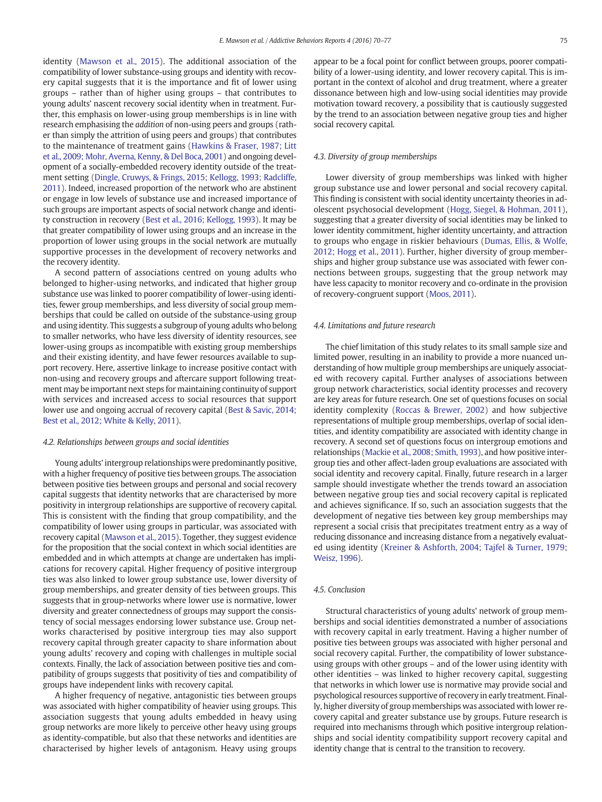identity ([Mawson et al., 2015\)](#page-6-0). The additional association of the compatibility of lower substance-using groups and identity with recovery capital suggests that it is the importance and fit of lower using groups – rather than of higher using groups – that contributes to young adults' nascent recovery social identity when in treatment. Further, this emphasis on lower-using group memberships is in line with research emphasising the addition of non-using peers and groups (rather than simply the attrition of using peers and groups) that contributes to the maintenance of treatment gains ([Hawkins & Fraser, 1987; Litt](#page-6-0) [et al., 2009; Mohr, Averna, Kenny, & Del Boca, 2001\)](#page-6-0) and ongoing development of a socially-embedded recovery identity outside of the treatment setting ([Dingle, Cruwys, & Frings, 2015; Kellogg, 1993; Radcliffe,](#page-6-0) [2011](#page-6-0)). Indeed, increased proportion of the network who are abstinent or engage in low levels of substance use and increased importance of such groups are important aspects of social network change and identity construction in recovery [\(Best et al., 2016; Kellogg, 1993\)](#page-6-0). It may be that greater compatibility of lower using groups and an increase in the proportion of lower using groups in the social network are mutually supportive processes in the development of recovery networks and the recovery identity.

A second pattern of associations centred on young adults who belonged to higher-using networks, and indicated that higher group substance use was linked to poorer compatibility of lower-using identities, fewer group memberships, and less diversity of social group memberships that could be called on outside of the substance-using group and using identity. This suggests a subgroup of young adults who belong to smaller networks, who have less diversity of identity resources, see lower-using groups as incompatible with existing group memberships and their existing identity, and have fewer resources available to support recovery. Here, assertive linkage to increase positive contact with non-using and recovery groups and aftercare support following treatment may be important next steps for maintaining continuity of support with services and increased access to social resources that support lower use and ongoing accrual of recovery capital ([Best & Savic, 2014;](#page-6-0) [Best et al., 2012; White & Kelly, 2011\)](#page-6-0).

# 4.2. Relationships between groups and social identities

Young adults' intergroup relationships were predominantly positive, with a higher frequency of positive ties between groups. The association between positive ties between groups and personal and social recovery capital suggests that identity networks that are characterised by more positivity in intergroup relationships are supportive of recovery capital. This is consistent with the finding that group compatibility, and the compatibility of lower using groups in particular, was associated with recovery capital ([Mawson et al., 2015\)](#page-6-0). Together, they suggest evidence for the proposition that the social context in which social identities are embedded and in which attempts at change are undertaken has implications for recovery capital. Higher frequency of positive intergroup ties was also linked to lower group substance use, lower diversity of group memberships, and greater density of ties between groups. This suggests that in group-networks where lower use is normative, lower diversity and greater connectedness of groups may support the consistency of social messages endorsing lower substance use. Group networks characterised by positive intergroup ties may also support recovery capital through greater capacity to share information about young adults' recovery and coping with challenges in multiple social contexts. Finally, the lack of association between positive ties and compatibility of groups suggests that positivity of ties and compatibility of groups have independent links with recovery capital.

A higher frequency of negative, antagonistic ties between groups was associated with higher compatibility of heavier using groups. This association suggests that young adults embedded in heavy using group networks are more likely to perceive other heavy using groups as identity-compatible, but also that these networks and identities are characterised by higher levels of antagonism. Heavy using groups appear to be a focal point for conflict between groups, poorer compatibility of a lower-using identity, and lower recovery capital. This is important in the context of alcohol and drug treatment, where a greater dissonance between high and low-using social identities may provide motivation toward recovery, a possibility that is cautiously suggested by the trend to an association between negative group ties and higher social recovery capital.

#### 4.3. Diversity of group memberships

Lower diversity of group memberships was linked with higher group substance use and lower personal and social recovery capital. This finding is consistent with social identity uncertainty theories in adolescent psychosocial development ([Hogg, Siegel, & Hohman, 2011](#page-6-0)), suggesting that a greater diversity of social identities may be linked to lower identity commitment, higher identity uncertainty, and attraction to groups who engage in riskier behaviours ([Dumas, Ellis, & Wolfe,](#page-6-0) [2012; Hogg et al., 2011](#page-6-0)). Further, higher diversity of group memberships and higher group substance use was associated with fewer connections between groups, suggesting that the group network may have less capacity to monitor recovery and co-ordinate in the provision of recovery-congruent support ([Moos, 2011\)](#page-7-0).

#### 4.4. Limitations and future research

The chief limitation of this study relates to its small sample size and limited power, resulting in an inability to provide a more nuanced understanding of how multiple group memberships are uniquely associated with recovery capital. Further analyses of associations between group network characteristics, social identity processes and recovery are key areas for future research. One set of questions focuses on social identity complexity ([Roccas & Brewer, 2002\)](#page-7-0) and how subjective representations of multiple group memberships, overlap of social identities, and identity compatibility are associated with identity change in recovery. A second set of questions focus on intergroup emotions and relationships [\(Mackie et al., 2008; Smith, 1993\)](#page-6-0), and how positive intergroup ties and other affect-laden group evaluations are associated with social identity and recovery capital. Finally, future research in a larger sample should investigate whether the trends toward an association between negative group ties and social recovery capital is replicated and achieves significance. If so, such an association suggests that the development of negative ties between key group memberships may represent a social crisis that precipitates treatment entry as a way of reducing dissonance and increasing distance from a negatively evaluated using identity [\(Kreiner & Ashforth, 2004; Tajfel & Turner, 1979;](#page-6-0) [Weisz, 1996\)](#page-6-0).

#### 4.5. Conclusion

Structural characteristics of young adults' network of group memberships and social identities demonstrated a number of associations with recovery capital in early treatment. Having a higher number of positive ties between groups was associated with higher personal and social recovery capital. Further, the compatibility of lower substanceusing groups with other groups – and of the lower using identity with other identities – was linked to higher recovery capital, suggesting that networks in which lower use is normative may provide social and psychological resources supportive of recovery in early treatment. Finally, higher diversity of group memberships was associated with lower recovery capital and greater substance use by groups. Future research is required into mechanisms through which positive intergroup relationships and social identity compatibility support recovery capital and identity change that is central to the transition to recovery.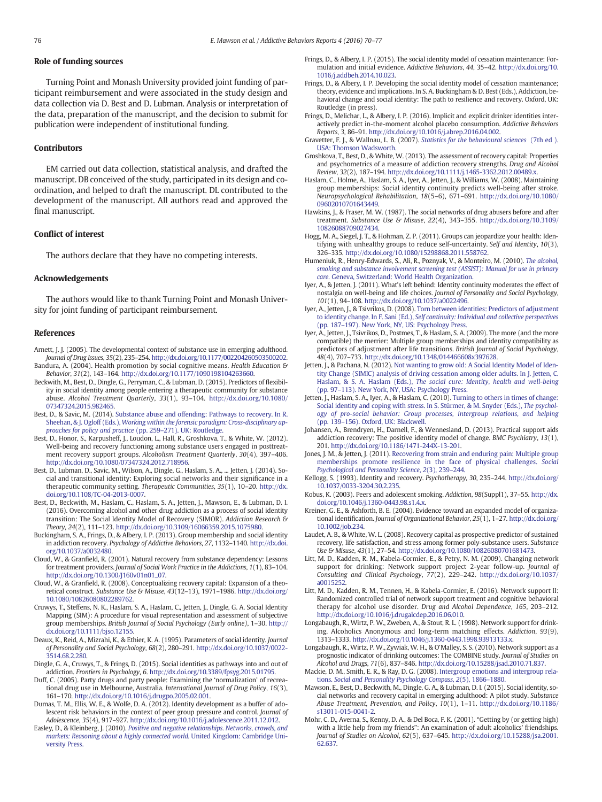# <span id="page-6-0"></span>Role of funding sources

Turning Point and Monash University provided joint funding of participant reimbursement and were associated in the study design and data collection via D. Best and D. Lubman. Analysis or interpretation of the data, preparation of the manuscript, and the decision to submit for publication were independent of institutional funding.

## Contributors

EM carried out data collection, statistical analysis, and drafted the manuscript. DB conceived of the study, participated in its design and coordination, and helped to draft the manuscript. DL contributed to the development of the manuscript. All authors read and approved the final manuscript.

#### Conflict of interest

The authors declare that they have no competing interests.

#### Acknowledgements

The authors would like to thank Turning Point and Monash University for joint funding of participant reimbursement.

#### References

- Arnett, J. J. (2005). The developmental context of substance use in emerging adulthood. Journal of Drug Issues, 35(2), 235–254. http://dx.doi.org[/10.1177/002204260503500202](http://dx.doi.org/10.1177/002204260503500202). Bandura, A. (2004). Health promotion by social cognitive means. Health Education &
- Behavior, 31(2), 143–164. http://dx.doi.org[/10.1177/1090198104263660.](http://dx.doi.org/10.1177/1090198104263660) Beckwith, M., Best, D., Dingle, G., Perryman, C., & Lubman, D. (2015). Predictors of flexibil-
- ity in social identity among people entering a therapeutic community for substance abuse. Alcohol Treatment Quarterly, 33(1), 93–104. http://dx.doi.org/[10.1080/](http://dx.doi.org/10.1080/07347324.2015.982465) [07347324.2015.982465](http://dx.doi.org/10.1080/07347324.2015.982465).
- Best, D., & Savic, M. (2014). [Substance abuse and offending: Pathways to recovery. In R.](http://refhub.elsevier.com/S2352-8532(16)30045-1/rf0020) Sheehan, & J. Ogloff (Eds.), [Working within the forensic paradigm: Cross-disciplinary ap](http://refhub.elsevier.com/S2352-8532(16)30045-1/rf0020)[proaches for policy and practice](http://refhub.elsevier.com/S2352-8532(16)30045-1/rf0020) (pp. 259–271). UK: Routledge.
- Best, D., Honor, S., Karpusheff, J., Loudon, L., Hall, R., Groshkova, T., & White, W. (2012). Well-being and recovery functioning among substance users engaged in posttreatment recovery support groups. Alcoholism Treatment Quarterly, 30(4), 397–406. http://dx.doi.org[/10.1080/07347324.2012.718956](http://dx.doi.org/10.1080/07347324.2012.718956).
- Best, D., Lubman, D., Savic, M., Wilson, A., Dingle, G., Haslam, S. A., ... Jetten, J. (2014). Social and transitional identity: Exploring social networks and their significance in a therapeutic community setting. Therapeutic Communities, 35(1), 10–20. http://dx. doi.org/[10.1108/TC-04-2013-0007.](http://dx.doi.org/10.1108/TC-04-2013-0007)
- Best, D., Beckwith, M., Haslam, C., Haslam, S. A., Jetten, J., Mawson, E., & Lubman, D. I. (2016). Overcoming alcohol and other drug addiction as a process of social identity transition: The Social Identity Model of Recovery (SIMOR). Addiction Research & Theory, 24(2), 111–123. http://dx.doi.org/[10.3109/16066359.2015.1075980.](http://dx.doi.org/10.3109/16066359.2015.1075980)
- Buckingham, S. A., Frings, D., & Albery, I. P. (2013). Group membership and social identity in addiction recovery. Psychology of Addictive Behaviors, 27, 1132–1140. http://dx.doi. org[/10.1037/a0032480](http://dx.doi.org/10.1037/a0032480).
- Cloud, W., & Granfield, R. (2001). Natural recovery from substance dependency: Lessons for treatment providers. Journal of Social Work Practice in the Addictions, 1(1), 83–104. http://dx.doi.org[/10.1300/J160v01n01\\_07](http://dx.doi.org/10.1300/J160v01n01_07).
- Cloud, W., & Granfield, R. (2008). Conceptualizing recovery capital: Expansion of a theoretical construct. Substance Use & Misuse, 43(12–13), 1971–1986. http://dx.doi.org/ [10.1080/10826080802289762](http://dx.doi.org/10.1080/10826080802289762).
- Cruwys, T., Steffens, N. K., Haslam, S. A., Haslam, C., Jetten, J., Dingle, G. A. Social Identity Mapping (SIM): A procedure for visual representation and assessment of subjective group memberships. British Journal of Social Psychology (Early online), 1–30. [http://](http://dx.doi.org/) [dx.doi.org/10.1111/bjso.12155.](http://dx.doi.org/)
- Deaux, K., Reid, A., Mizrahi, K., & Ethier, K. A. (1995). Parameters of social identity. Journal of Personality and Social Psychology, 68(2), 280–291. http://dx.doi.org[/10.1037/0022-](http://dx.doi.org/10.1037/0022-3514.68.2.280) [3514.68.2.280](http://dx.doi.org/10.1037/0022-3514.68.2.280).
- Dingle, G. A., Cruwys, T., & Frings, D. (2015). Social identities as pathways into and out of addiction. Frontiers in Psychology, 6. http://dx.doi.org[/10.3389/fpsyg.2015.01795.](http://dx.doi.org/10.3389/fpsyg.2015.01795)
- Duff, C. (2005). Party drugs and party people: Examining the 'normalization' of recreational drug use in Melbourne, Australia. International Journal of Drug Policy, 16(3), 161–170. http://dx.doi.org/[10.1016/j.drugpo.2005.02.001](http://dx.doi.org/10.1016/j.drugpo.2005.02.001).
- Dumas, T. M., Ellis, W. E., & Wolfe, D. A. (2012). Identity development as a buffer of adolescent risk behaviors in the context of peer group pressure and control. Journal of Adolescence, 35(4), 917–927. http://dx.doi.org/[10.1016/j.adolescence.2011.12.012.](http://dx.doi.org/10.1016/j.adolescence.2011.12.012)
- Easley, D., & Kleinberg, J. (2010). [Positive and negative relationships. Networks, crowds, and](http://refhub.elsevier.com/S2352-8532(16)30045-1/rf0075) [markets: Reasoning about a highly connected world.](http://refhub.elsevier.com/S2352-8532(16)30045-1/rf0075) United Kingdom: Cambridge Uni[versity Press.](http://refhub.elsevier.com/S2352-8532(16)30045-1/rf0075)
- Frings, D., & Albery, I. P. (2015). The social identity model of cessation maintenance: Formulation and initial evidence. Addictive Behaviors, 44, 35–42. http://dx.doi.org/[10.](http://dx.doi.org/10.1016/j.addbeh.2014.10.023) [1016/j.addbeh.2014.10.023](http://dx.doi.org/10.1016/j.addbeh.2014.10.023).
- Frings, D., & Albery, I. P. Developing the social identity model of cessation maintenance; theory, evidence and implications. In S. A. Buckingham & D. Best (Eds.), Addiction, behavioral change and social identity: The path to resilience and recovery. Oxford, UK: Routledge (in press).
- Frings, D., Melichar, L., & Albery, I. P. (2016). Implicit and explicit drinker identities interactively predict in-the-moment alcohol placebo consumption. Addictive Behaviors Reports, 3, 86–91. http://dx.doi.org/[10.1016/j.abrep.2016.04.002](http://dx.doi.org/10.1016/j.abrep.2016.04.002).
- Gravetter, F. J., & Wallnau, L. B. (2007). [Statistics for the behavioural sciences](http://refhub.elsevier.com/S2352-8532(16)30045-1/rf0090) (7th ed ). [USA: Thomson Wadsworth.](http://refhub.elsevier.com/S2352-8532(16)30045-1/rf0090)
- Groshkova, T., Best, D., & White, W. (2013). The assessment of recovery capital: Properties and psychometrics of a measure of addiction recovery strengths. Drug and Alcohol Review, 32(2), 187–194. http://dx.doi.org[/10.1111/j.1465-3362.2012.00489.x.](http://dx.doi.org/10.1111/j.1465-3362.2012.00489.x)
- Haslam, C., Holme, A., Haslam, S. A., Iyer, A., Jetten, J., & Williams, W. (2008). Maintaining group memberships: Social identity continuity predicts well-being after stroke. Neuropsychological Rehabilitation, 18(5–6), 671–691. http://dx.doi.org/[10.1080/](http://dx.doi.org/10.1080/09602010701643449) [09602010701643449](http://dx.doi.org/10.1080/09602010701643449).
- Hawkins, J., & Fraser, M. W. (1987). The social networks of drug abusers before and after treatment. Substance Use & Misuse, 22(4), 343–355. http://dx.doi.org/[10.3109/](http://dx.doi.org/10.3109/10826088709027434) [10826088709027434](http://dx.doi.org/10.3109/10826088709027434).
- Hogg, M. A., Siegel, J. T., & Hohman, Z. P. (2011). Groups can jeopardize your health: Identifying with unhealthy groups to reduce self-uncertainty. Self and Identity, 10(3), 326–335. http://dx.doi.org/[10.1080/15298868.2011.558762](http://dx.doi.org/10.1080/15298868.2011.558762).
- Humeniuk, R., Henry-Edwards, S., Ali, R., Poznyak, V., & Monteiro, M. (2010). [The alcohol,](http://refhub.elsevier.com/S2352-8532(16)30045-1/rf0115) [smoking and substance involvement screening test \(ASSIST\): Manual for use in primary](http://refhub.elsevier.com/S2352-8532(16)30045-1/rf0115) care. [Geneva, Switzerland: World Health Organization.](http://refhub.elsevier.com/S2352-8532(16)30045-1/rf0115)
- Iyer, A., & Jetten, J. (2011). What's left behind: Identity continuity moderates the effect of nostalgia on well-being and life choices. Journal of Personality and Social Psychology, 101(1), 94–108. http://dx.doi.org/[10.1037/a0022496.](http://dx.doi.org/10.1037/a0022496)
- Iyer, A., Jetten, J., & Tsivrikos, D. (2008). [Torn between identities: Predictors of adjustment](http://refhub.elsevier.com/S2352-8532(16)30045-1/rf0125) to identity change. In F. Sani (Ed.), [Self continuity: Individual and collective perspectives](http://refhub.elsevier.com/S2352-8532(16)30045-1/rf0125) (pp. 187–[197\). New York, NY, US: Psychology Press.](http://refhub.elsevier.com/S2352-8532(16)30045-1/rf0125)
- Iyer, A., Jetten, J., Tsivrikos, D., Postmes, T., & Haslam, S. A. (2009). The more (and the more compatible) the merrier: Multiple group memberships and identity compatibility as predictors of adjustment after life transitions. British Journal of Social Psychology, 48(4), 707–733. http://dx.doi.org/[10.1348/014466608x397628](http://dx.doi.org/10.1348/014466608x397628).
- Jetten, J., & Pachana, N. (2012). [Not wanting to grow old: A Social Identity Model of Iden](http://refhub.elsevier.com/S2352-8532(16)30045-1/rf0135)[tity Change \(SIMIC\) analysis of driving cessation among older adults. In J. Jetten, C.](http://refhub.elsevier.com/S2352-8532(16)30045-1/rf0135) Haslam, & S. A. Haslam (Eds.), [The social cure: Identity, health and well-being](http://refhub.elsevier.com/S2352-8532(16)30045-1/rf0135) (pp. 97–[113\). New York, NY, USA: Psychology Press.](http://refhub.elsevier.com/S2352-8532(16)30045-1/rf0135)
- Jetten, J., Haslam, S. A., Iyer, A., & Haslam, C. (2010). [Turning to others in times of change:](http://refhub.elsevier.com/S2352-8532(16)30045-1/rf0140) [Social identity and coping with stress. In S. Stürmer, & M. Snyder \(Eds.\),](http://refhub.elsevier.com/S2352-8532(16)30045-1/rf0140) The psychol[ogy of pro-social behavior: Group processes, intergroup relations, and helping](http://refhub.elsevier.com/S2352-8532(16)30045-1/rf0140) (pp. 139–[156\). Oxford, UK: Blackwell.](http://refhub.elsevier.com/S2352-8532(16)30045-1/rf0140)
- Johansen, A., Brendryen, H., Darnell, F., & Wennesland, D. (2013). Practical support aids addiction recovery: The positive identity model of change. BMC Psychiatry, 13(1), 201. http://dx.doi.org[/10.1186/1471-244X-13-201.](http://dx.doi.org/10.1186/1471-244X-13-201)
- Jones, J. M., & Jetten, J. (2011). [Recovering from strain and enduring pain: Multiple group](http://refhub.elsevier.com/S2352-8532(16)30045-1/rf0150) [memberships promote resilience in the face of physical challenges.](http://refhub.elsevier.com/S2352-8532(16)30045-1/rf0150) Social [Psychological and Personality Science](http://refhub.elsevier.com/S2352-8532(16)30045-1/rf0150), 2(3), 239–244.
- Kellogg, S. (1993). Identity and recovery. Psychotherapy, 30, 235-244. http://dx.doi.org/ [10.1037/0033-3204.30.2.235.](http://dx.doi.org/10.1037/0033-3204.30.2.235)
- Kobus, K. (2003). Peers and adolescent smoking. Addiction, 98(Suppl1), 37-55. http://dx. doi.org/[10.1046/j.1360-0443.98.s1.4.x](http://dx.doi.org/10.1046/j.1360-0443.98.s1.4.x).
- Kreiner, G. E., & Ashforth, B. E. (2004). Evidence toward an expanded model of organizational identification. Journal of Organizational Behavior, 25(1), 1-27. http://dx.doi.org/ [10.1002/job.234](http://dx.doi.org/10.1002/job.234).
- Laudet, A. B., & White, W. L. (2008). Recovery capital as prospective predictor of sustained recovery, life satisfaction, and stress among former poly-substance users. Substance Use & Misuse, 43(1), 27–54. http://dx.doi.org/[10.1080/10826080701681473](http://dx.doi.org/10.1080/10826080701681473).
- Litt, M. D., Kadden, R. M., Kabela-Cormier, E., & Petry, N. M. (2009). Changing network support for drinking: Network support project 2-year follow-up. Journal of Consulting and Clinical Psychology, 77(2), 229–242. http://dx.doi.org/[10.1037/](http://dx.doi.org/10.1037/a0015252) [a0015252.](http://dx.doi.org/10.1037/a0015252)
- Litt, M. D., Kadden, R. M., Tennen, H., & Kabela-Cormier, E. (2016). Network support II: Randomized controlled trial of network support treatment and cognitive behavioral therapy for alcohol use disorder. Drug and Alcohol Dependence, 165, 203–212. http://dx.doi.org[/10.1016/j.drugalcdep.2016.06.010](http://dx.doi.org/10.1016/j.drugalcdep.2016.06.010).
- Longabaugh, R., Wirtz, P. W., Zweben, A., & Stout, R. L. (1998). Network support for drinking, Alcoholics Anonymous and long-term matching effects. Addiction, 93(9), 1313–1333. http://dx.doi.org/[10.1046/j.1360-0443.1998.93913133.x.](http://dx.doi.org/10.1046/j.1360-0443.1998.93913133.x)
- Longabaugh, R., Wirtz, P. W., Zywiak, W. H., & O'Malley, S. S. (2010). Network support as a prognostic indicator of drinking outcomes: The COMBINE study. Journal of Studies on Alcohol and Drugs, 71(6), 837–846. http://dx.doi.org[/10.15288/jsad.2010.71.837.](http://dx.doi.org/10.15288/jsad.2010.71.837)
- Mackie, D. M., Smith, E. R., & Ray, D. G. (2008). [Intergroup emotions and intergroup rela](http://refhub.elsevier.com/S2352-8532(16)30045-1/rf0195)tions. [Social and Personality Psychology Compass](http://refhub.elsevier.com/S2352-8532(16)30045-1/rf0195), 2(5), 1866–1880.
- Mawson, E., Best, D., Beckwith, M., Dingle, G. A., & Lubman, D. I. (2015). Social identity, social networks and recovery capital in emerging adulthood: A pilot study. Substance Abuse Treatment, Prevention, and Policy, 10(1), 1–11. http://dx.doi.org/[10.1186/](http://dx.doi.org/10.1186/s13011-015-0041-2) [s13011-015-0041-2](http://dx.doi.org/10.1186/s13011-015-0041-2).
- Mohr, C. D., Averna, S., Kenny, D. A., & Del Boca, F. K. (2001). "Getting by (or getting high) with a little help from my friends": An examination of adult alcoholics' friendships. Journal of Studies on Alcohol, 62(5), 637–645. http://dx.doi.org/[10.15288/jsa.2001.](http://dx.doi.org/10.15288/jsa.2001.62.637) [62.637.](http://dx.doi.org/10.15288/jsa.2001.62.637)